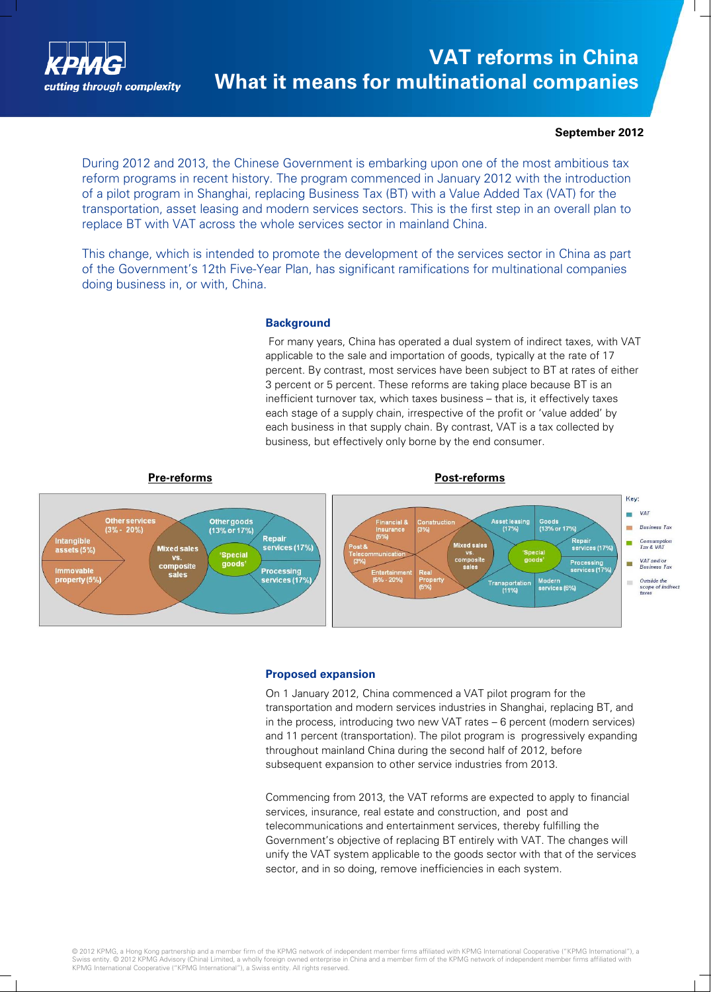

# **VAT reforms in China What it means for multinational companies**

#### **September 2012**

During 2012 and 2013, the Chinese Government is embarking upon one of the most ambitious tax reform programs in recent history. The program commenced in January 2012 with the introduction of a pilot program in Shanghai, replacing Business Tax (BT) with a Value Added Tax (VAT) for the transportation, asset leasing and modern services sectors. This is the first step in an overall plan to replace BT with VAT across the whole services sector in mainland China.

This change, which is intended to promote the development of the services sector in China as part of the Government's 12th Five-Year Plan, has significant ramifications for multinational companies doing business in, or with, China.

#### **Background**

For many years, China has operated a dual system of indirect taxes, with VAT applicable to the sale and importation of goods, typically at the rate of 17 percent. By contrast, most services have been subject to BT at rates of either 3 percent or 5 percent. These reforms are taking place because BT is an inefficient turnover tax, which taxes business – that is, it effectively taxes each stage of a supply chain, irrespective of the profit or 'value added' by each business in that supply chain. By contrast, VAT is a tax collected by business, but effectively only borne by the end consumer.



#### **Proposed expansion**

On 1 January 2012, China commenced a VAT pilot program for the transportation and modern services industries in Shanghai, replacing BT, and in the process, introducing two new VAT rates – 6 percent (modern services) and 11 percent (transportation). The pilot program is progressively expanding throughout mainland China during the second half of 2012, before subsequent expansion to other service industries from 2013.

Commencing from 2013, the VAT reforms are expected to apply to financial services, insurance, real estate and construction, and post and telecommunications and entertainment services, thereby fulfilling the Government's objective of replacing BT entirely with VAT. The changes will unify the VAT system applicable to the goods sector with that of the services sector, and in so doing, remove inefficiencies in each system.

© 2012 KPMG, a Hong Kong partnership and a member firm of the KPMG network of independent member firms affiliated with KPMG International Cooperative ("KPMG International"), a<br>Swiss entity. © 2012 KPMG Advisory (China) Lim KPMG International Cooperative ("KPMG International"), a Swiss entity. All rights reserved.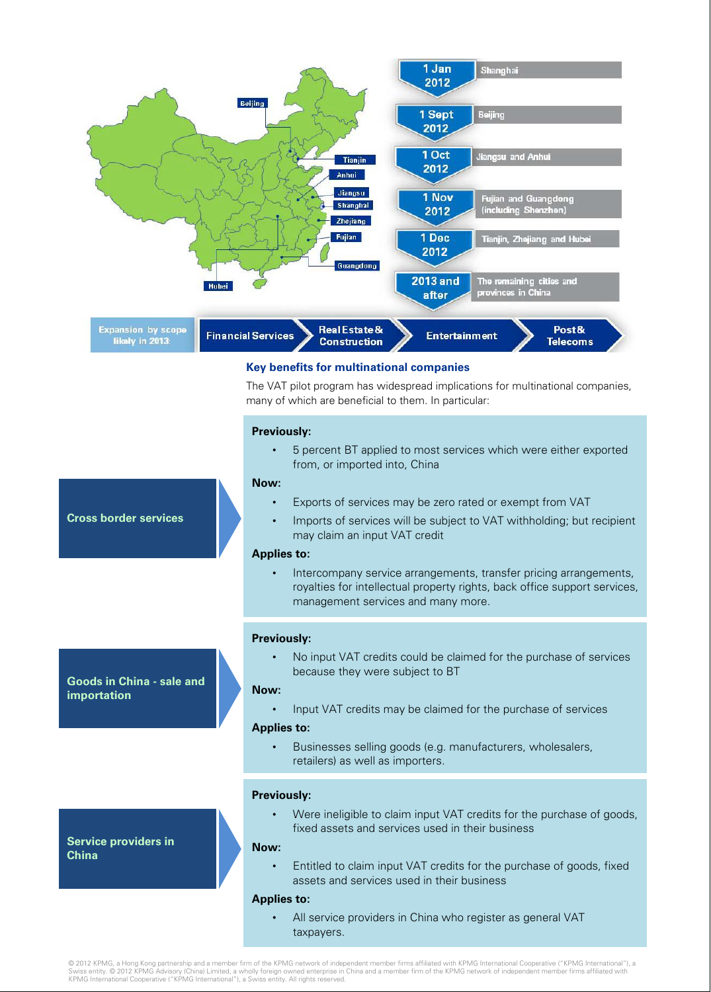

© 2012 KPMG, a Hong Kong partnership and a member firm of the KPMG network of independent member firms affiliated with KPMG International Cooperative ("KPMG International"), a Swiss entity. © 2012 KPMG Advisory (China) Limited, a wholly foreign owned enterprise in China and a member firm of the KPMG network of independent member firms affiliated with<br>KPMG International Cooperative ("KPMG Interna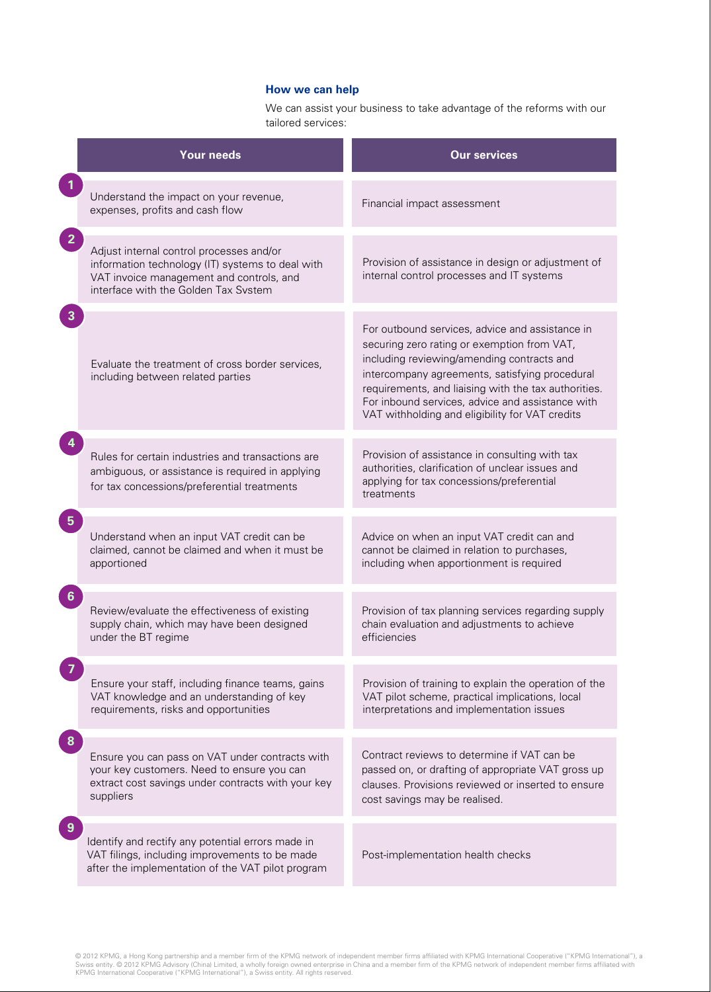### **How we can help**

We can assist your business to take advantage of the reforms with our tailored services:

|                | <b>Your needs</b>                                                                                                                                                                | <b>Our services</b>                                                                                                                                                                                                                                                                                                                                           |
|----------------|----------------------------------------------------------------------------------------------------------------------------------------------------------------------------------|---------------------------------------------------------------------------------------------------------------------------------------------------------------------------------------------------------------------------------------------------------------------------------------------------------------------------------------------------------------|
|                | Understand the impact on your revenue,<br>expenses, profits and cash flow                                                                                                        | Financial impact assessment                                                                                                                                                                                                                                                                                                                                   |
| $\overline{2}$ | Adjust internal control processes and/or<br>information technology (IT) systems to deal with<br>VAT invoice management and controls, and<br>interface with the Golden Tax System | Provision of assistance in design or adjustment of<br>internal control processes and IT systems                                                                                                                                                                                                                                                               |
|                | Evaluate the treatment of cross border services,<br>including between related parties                                                                                            | For outbound services, advice and assistance in<br>securing zero rating or exemption from VAT,<br>including reviewing/amending contracts and<br>intercompany agreements, satisfying procedural<br>requirements, and liaising with the tax authorities.<br>For inbound services, advice and assistance with<br>VAT withholding and eligibility for VAT credits |
|                | Rules for certain industries and transactions are<br>ambiguous, or assistance is required in applying<br>for tax concessions/preferential treatments                             | Provision of assistance in consulting with tax<br>authorities, clarification of unclear issues and<br>applying for tax concessions/preferential<br>treatments                                                                                                                                                                                                 |
| 5 <sup>5</sup> | Understand when an input VAT credit can be<br>claimed, cannot be claimed and when it must be<br>apportioned                                                                      | Advice on when an input VAT credit can and<br>cannot be claimed in relation to purchases,<br>including when apportionment is required                                                                                                                                                                                                                         |
| 6              | Review/evaluate the effectiveness of existing<br>supply chain, which may have been designed<br>under the BT regime                                                               | Provision of tax planning services regarding supply<br>chain evaluation and adjustments to achieve<br>efficiencies                                                                                                                                                                                                                                            |
|                | Ensure your staff, including finance teams, gains<br>VAT knowledge and an understanding of key<br>requirements, risks and opportunities                                          | Provision of training to explain the operation of the<br>VAT pilot scheme, practical implications, local<br>interpretations and implementation issues                                                                                                                                                                                                         |
|                | Ensure you can pass on VAT under contracts with<br>your key customers. Need to ensure you can<br>extract cost savings under contracts with your key<br>suppliers                 | Contract reviews to determine if VAT can be<br>passed on, or drafting of appropriate VAT gross up<br>clauses. Provisions reviewed or inserted to ensure<br>cost savings may be realised.                                                                                                                                                                      |
|                | Identify and rectify any potential errors made in<br>VAT filings, including improvements to be made<br>after the implementation of the VAT pilot program                         | Post-implementation health checks                                                                                                                                                                                                                                                                                                                             |